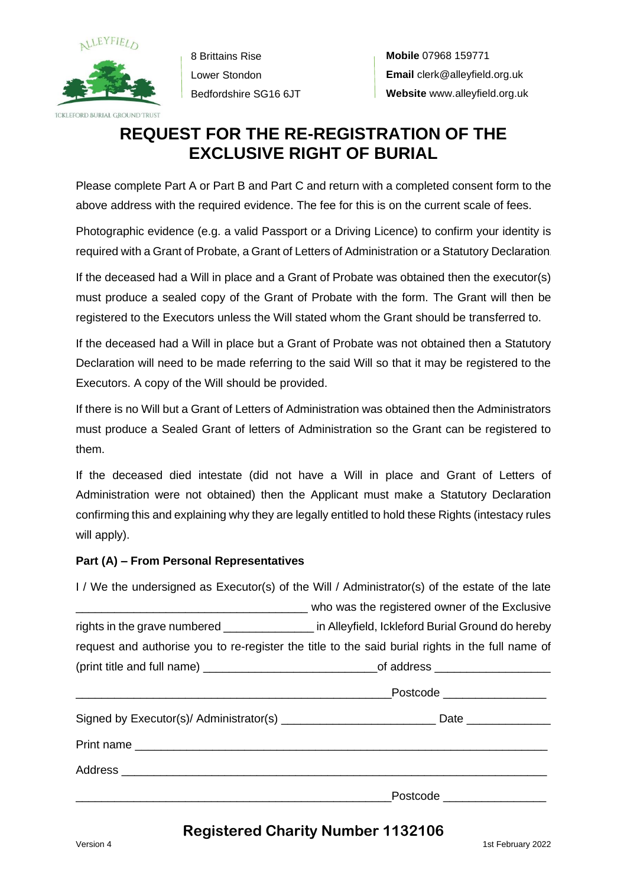

8 Brittains Rise Lower Stondon Bedfordshire SG16 6JT

# **REQUEST FOR THE RE-REGISTRATION OF THE EXCLUSIVE RIGHT OF BURIAL**

Please complete Part A or Part B and Part C and return with a completed consent form to the above address with the required evidence. The fee for this is on the current scale of fees.

Photographic evidence (e.g. a valid Passport or a Driving Licence) to confirm your identity is required with a Grant of Probate, a Grant of Letters of Administration or a Statutory Declaration.

If the deceased had a Will in place and a Grant of Probate was obtained then the executor(s) must produce a sealed copy of the Grant of Probate with the form. The Grant will then be registered to the Executors unless the Will stated whom the Grant should be transferred to.

If the deceased had a Will in place but a Grant of Probate was not obtained then a Statutory Declaration will need to be made referring to the said Will so that it may be registered to the Executors. A copy of the Will should be provided.

If there is no Will but a Grant of Letters of Administration was obtained then the Administrators must produce a Sealed Grant of letters of Administration so the Grant can be registered to them.

If the deceased died intestate (did not have a Will in place and Grant of Letters of Administration were not obtained) then the Applicant must make a Statutory Declaration confirming this and explaining why they are legally entitled to hold these Rights (intestacy rules will apply).

#### **Part (A) – From Personal Representatives**

| I / We the undersigned as Executor(s) of the Will / Administrator(s) of the estate of the late |                                                                                                           |  |
|------------------------------------------------------------------------------------------------|-----------------------------------------------------------------------------------------------------------|--|
|                                                                                                | who was the registered owner of the Exclusive contracts and who was the registered owner of the Exclusive |  |
|                                                                                                | rights in the grave numbered ________________ in Alleyfield, Ickleford Burial Ground do hereby            |  |
|                                                                                                | request and authorise you to re-register the title to the said burial rights in the full name of          |  |
|                                                                                                |                                                                                                           |  |
|                                                                                                |                                                                                                           |  |
|                                                                                                | Signed by Executor(s)/ Administrator(s) ___________________________________Date ____________________      |  |
|                                                                                                |                                                                                                           |  |
|                                                                                                |                                                                                                           |  |
|                                                                                                |                                                                                                           |  |

## **Registered Charity Number 1132106**